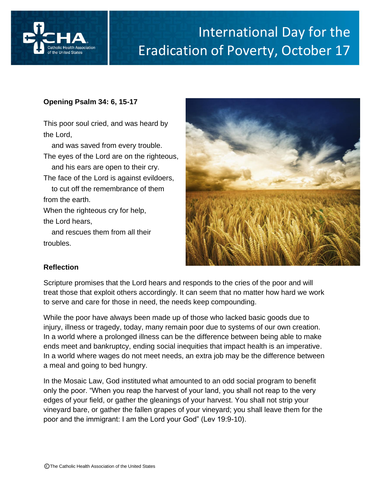

## International Day for the Eradication of Poverty, October 17

## **Opening Psalm 34: 6, 15-17**

This poor soul cried, and was heard by the Lord,

 and was saved from every trouble. The eyes of the Lord are on the righteous, and his ears are open to their cry. The face of the Lord is against evildoers, to cut off the remembrance of them from the earth. When the righteous cry for help,

 and rescues them from all their troubles.



Oc

## **Reflection**

the Lord hears,

Scripture promises that the Lord hears and responds to the cries of the poor and will treat those that exploit others accordingly. It can seem that no matter how hard we work to serve and care for those in need, the needs keep compounding.

While the poor have always been made up of those who lacked basic goods due to injury, illness or tragedy, today, many remain poor due to systems of our own creation. In a world where a prolonged illness can be the difference between being able to make ends meet and bankruptcy, ending social inequities that impact health is an imperative. In a world where wages do not meet needs, an extra job may be the difference between a meal and going to bed hungry.

In the Mosaic Law, God instituted what amounted to an odd social program to benefit only the poor. "When you reap the harvest of your land, you shall not reap to the very edges of your field, or gather the gleanings of your harvest. You shall not strip your vineyard bare, or gather the fallen grapes of your vineyard; you shall leave them for the poor and the immigrant: I am the Lord your God" (Lev 19:9-10).